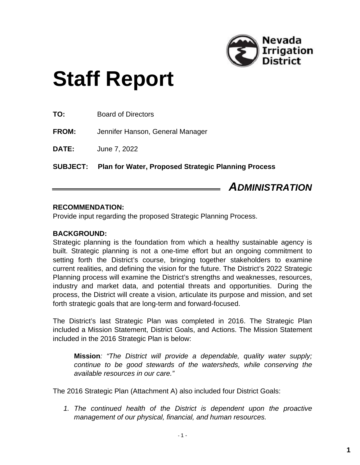

# **Staff Report**

**TO:** Board of Directors

**FROM:** Jennifer Hanson, General Manager

**DATE:** June 7, 2022

**SUBJECT: Plan for Water, Proposed Strategic Planning Process**

*ADMINISTRATION*

#### **RECOMMENDATION:**

Provide input regarding the proposed Strategic Planning Process.

#### **BACKGROUND:**

Strategic planning is the foundation from which a healthy sustainable agency is built. Strategic planning is not a one-time effort but an ongoing commitment to setting forth the District's course, bringing together stakeholders to examine current realities, and defining the vision for the future. The District's 2022 Strategic Planning process will examine the District's strengths and weaknesses, resources, industry and market data, and potential threats and opportunities. During the process, the District will create a vision, articulate its purpose and mission, and set forth strategic goals that are long-term and forward-focused.

The District's last Strategic Plan was completed in 2016. The Strategic Plan included a Mission Statement, District Goals, and Actions. The Mission Statement included in the 2016 Strategic Plan is below:

**Mission***: "The District will provide a dependable, quality water supply; continue to be good stewards of the watersheds, while conserving the available resources in our care."*

The 2016 Strategic Plan (Attachment A) also included four District Goals:

*1. The continued health of the District is dependent upon the proactive management of our physical, financial, and human resources.*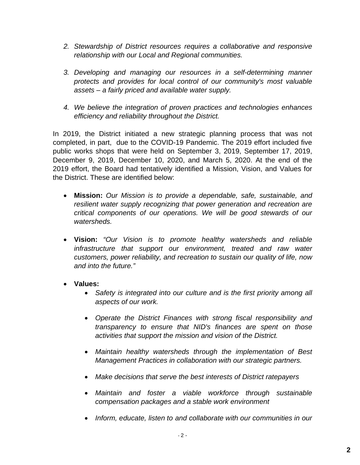- *2. Stewardship of District resources requires a collaborative and responsive relationship with our Local and Regional communities.*
- *3. Developing and managing our resources in a self-determining manner protects and provides for local control of our community's most valuable assets – a fairly priced and available water supply.*
- *4. We believe the integration of proven practices and technologies enhances efficiency and reliability throughout the District.*

In 2019, the District initiated a new strategic planning process that was not completed, in part, due to the COVID-19 Pandemic. The 2019 effort included five public works shops that were held on September 3, 2019, September 17, 2019, December 9, 2019, December 10, 2020, and March 5, 2020. At the end of the 2019 effort, the Board had tentatively identified a Mission, Vision, and Values for the District. These are identified below:

- **Mission:** *Our Mission is to provide a dependable, safe, sustainable, and resilient water supply recognizing that power generation and recreation are critical components of our operations. We will be good stewards of our watersheds.*
- **Vision:** *"Our Vision is to promote healthy watersheds and reliable infrastructure that support our environment, treated and raw water customers, power reliability, and recreation to sustain our quality of life, now and into the future."*
- **Values:** 
	- *Safety is integrated into our culture and is the first priority among all aspects of our work.*
	- *Operate the District Finances with strong fiscal responsibility and transparency to ensure that NID's finances are spent on those activities that support the mission and vision of the District.*
	- *Maintain healthy watersheds through the implementation of Best Management Practices in collaboration with our strategic partners.*
	- *Make decisions that serve the best interests of District ratepayers*
	- *Maintain and foster a viable workforce through sustainable compensation packages and a stable work environment*
	- *Inform, educate, listen to and collaborate with our communities in our*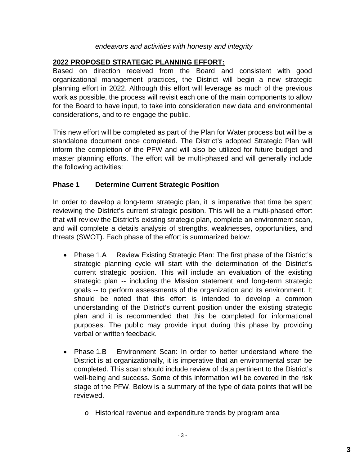#### *endeavors and activities with honesty and integrity*

## **2022 PROPOSED STRATEGIC PLANNING EFFORT:**

Based on direction received from the Board and consistent with good organizational management practices, the District will begin a new strategic planning effort in 2022. Although this effort will leverage as much of the previous work as possible, the process will revisit each one of the main components to allow for the Board to have input, to take into consideration new data and environmental considerations, and to re-engage the public.

This new effort will be completed as part of the Plan for Water process but will be a standalone document once completed. The District's adopted Strategic Plan will inform the completion of the PFW and will also be utilized for future budget and master planning efforts. The effort will be multi-phased and will generally include the following activities:

## **Phase 1 Determine Current Strategic Position**

In order to develop a long-term strategic plan, it is imperative that time be spent reviewing the District's current strategic position. This will be a multi-phased effort that will review the District's existing strategic plan, complete an environment scan, and will complete a details analysis of strengths, weaknesses, opportunities, and threats (SWOT). Each phase of the effort is summarized below:

- Phase 1.A Review Existing Strategic Plan: The first phase of the District's strategic planning cycle will start with the determination of the District's current strategic position. This will include an evaluation of the existing strategic plan -- including the Mission statement and long-term strategic goals -- to perform assessments of the organization and its environment. It should be noted that this effort is intended to develop a common understanding of the District's current position under the existing strategic plan and it is recommended that this be completed for informational purposes. The public may provide input during this phase by providing verbal or written feedback.
- Phase 1.B Environment Scan: In order to better understand where the District is at organizationally, it is imperative that an environmental scan be completed. This scan should include review of data pertinent to the District's well-being and success. Some of this information will be covered in the risk stage of the PFW. Below is a summary of the type of data points that will be reviewed.
	- o Historical revenue and expenditure trends by program area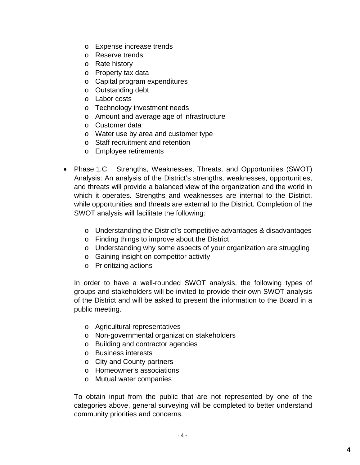- o Expense increase trends
- o Reserve trends
- o Rate history
- o Property tax data
- o Capital program expenditures
- o Outstanding debt
- o Labor costs
- o Technology investment needs
- o Amount and average age of infrastructure
- o Customer data
- o Water use by area and customer type
- o Staff recruitment and retention
- o Employee retirements
- Phase 1.C Strengths, Weaknesses, Threats, and Opportunities (SWOT) Analysis: An analysis of the District's strengths, weaknesses, opportunities, and threats will provide a balanced view of the organization and the world in which it operates. Strengths and weaknesses are internal to the District, while opportunities and threats are external to the District. Completion of the SWOT analysis will facilitate the following:
	- o Understanding the District's competitive advantages & disadvantages
	- o Finding things to improve about the District
	- o Understanding why some aspects of your organization are struggling
	- o Gaining insight on competitor activity
	- o Prioritizing actions

In order to have a well-rounded SWOT analysis, the following types of groups and stakeholders will be invited to provide their own SWOT analysis of the District and will be asked to present the information to the Board in a public meeting.

- o Agricultural representatives
- o Non-governmental organization stakeholders
- o Building and contractor agencies
- o Business interests
- o City and County partners
- o Homeowner's associations
- o Mutual water companies

To obtain input from the public that are not represented by one of the categories above, general surveying will be completed to better understand community priorities and concerns.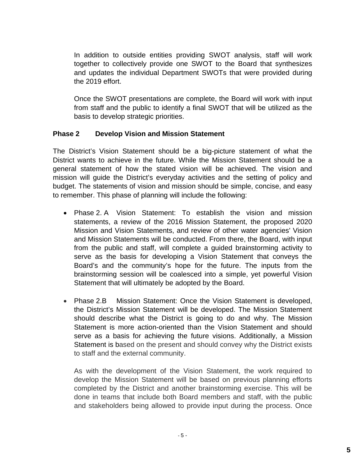In addition to outside entities providing SWOT analysis, staff will work together to collectively provide one SWOT to the Board that synthesizes and updates the individual Department SWOTs that were provided during the 2019 effort.

Once the SWOT presentations are complete, the Board will work with input from staff and the public to identify a final SWOT that will be utilized as the basis to develop strategic priorities.

## **Phase 2 Develop Vision and Mission Statement**

The District's Vision Statement should be a big-picture statement of what the District wants to achieve in the future. While the Mission Statement should be a general statement of how the stated vision will be achieved. The vision and mission will guide the District's everyday activities and the setting of policy and budget. The statements of vision and mission should be simple, concise, and easy to remember. This phase of planning will include the following:

- Phase 2. A Vision Statement: To establish the vision and mission statements, a review of the 2016 Mission Statement, the proposed 2020 Mission and Vision Statements, and review of other water agencies' Vision and Mission Statements will be conducted. From there, the Board, with input from the public and staff, will complete a guided brainstorming activity to serve as the basis for developing a Vision Statement that conveys the Board's and the community's hope for the future. The inputs from the brainstorming session will be coalesced into a simple, yet powerful Vision Statement that will ultimately be adopted by the Board.
- Phase 2.B Mission Statement: Once the Vision Statement is developed, the District's Mission Statement will be developed. The Mission Statement should describe what the District is going to do and why. The Mission Statement is more action-oriented than the Vision Statement and should serve as a basis for achieving the future visions. Additionally, a Mission Statement is based on the present and should convey why the District exists to staff and the external community.

As with the development of the Vision Statement, the work required to develop the Mission Statement will be based on previous planning efforts completed by the District and another brainstorming exercise. This will be done in teams that include both Board members and staff, with the public and stakeholders being allowed to provide input during the process. Once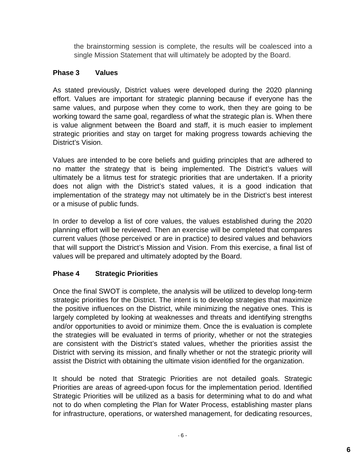the brainstorming session is complete, the results will be coalesced into a single Mission Statement that will ultimately be adopted by the Board.

## **Phase 3 Values**

As stated previously, District values were developed during the 2020 planning effort. Values are important for strategic planning because if everyone has the same values, and purpose when they come to work, then they are going to be working toward the same goal, regardless of what the strategic plan is. When there is value alignment between the Board and staff, it is much easier to implement strategic priorities and stay on target for making progress towards achieving the District's Vision.

Values are intended to be core beliefs and guiding principles that are adhered to no matter the strategy that is being implemented. The District's values will ultimately be a litmus test for strategic priorities that are undertaken. If a priority does not align with the District's stated values, it is a good indication that implementation of the strategy may not ultimately be in the District's best interest or a misuse of public funds.

In order to develop a list of core values, the values established during the 2020 planning effort will be reviewed. Then an exercise will be completed that compares current values (those perceived or are in practice) to desired values and behaviors that will support the District's Mission and Vision. From this exercise, a final list of values will be prepared and ultimately adopted by the Board.

## **Phase 4 Strategic Priorities**

Once the final SWOT is complete, the analysis will be utilized to develop long-term strategic priorities for the District. The intent is to develop strategies that maximize the positive influences on the District, while minimizing the negative ones. This is largely completed by looking at weaknesses and threats and identifying strengths and/or opportunities to avoid or minimize them. Once the is evaluation is complete the strategies will be evaluated in terms of priority, whether or not the strategies are consistent with the District's stated values, whether the priorities assist the District with serving its mission, and finally whether or not the strategic priority will assist the District with obtaining the ultimate vision identified for the organization.

It should be noted that Strategic Priorities are not detailed goals. Strategic Priorities are areas of agreed-upon focus for the implementation period. Identified Strategic Priorities will be utilized as a basis for determining what to do and what not to do when completing the Plan for Water Process, establishing master plans for infrastructure, operations, or watershed management, for dedicating resources,